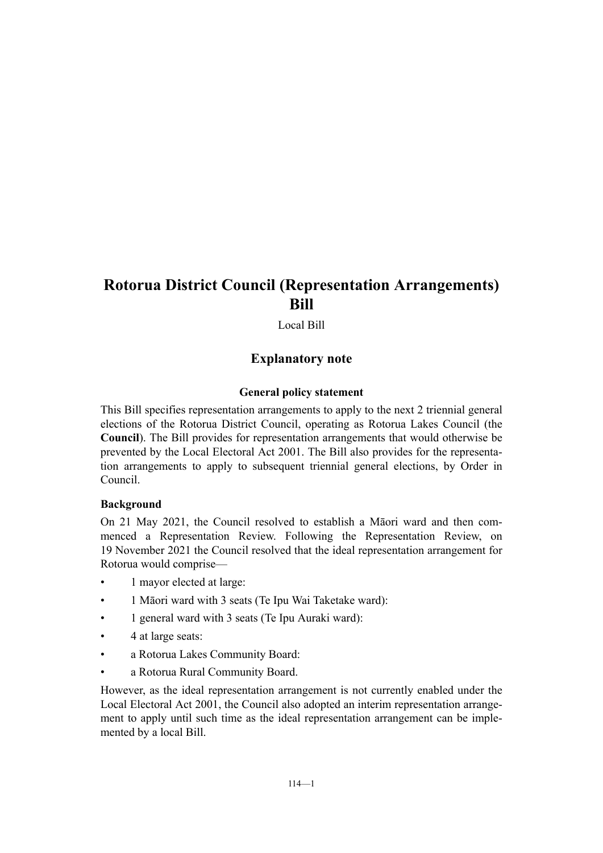# **Rotorua District Council (Representation Arrangements) Bill**

Local Bill

# **Explanatory note**

#### **General policy statement**

This Bill specifies representation arrangements to apply to the next 2 triennial general elections of the Rotorua District Council, operating as Rotorua Lakes Council (the **Council**). The Bill provides for representation arrangements that would otherwise be prevented by the Local Electoral Act 2001. The Bill also provides for the representation arrangements to apply to subsequent triennial general elections, by Order in Council.

# **Background**

On 21 May 2021, the Council resolved to establish a Māori ward and then com‐ menced a Representation Review. Following the Representation Review, on 19 November 2021 the Council resolved that the ideal representation arrangement for Rotorua would comprise—

- 1 mayor elected at large:
- 1 Māori ward with 3 seats (Te Ipu Wai Taketake ward):
- 1 general ward with 3 seats (Te Ipu Auraki ward):
- 4 at large seats:
- a Rotorua Lakes Community Board:
- a Rotorua Rural Community Board.

However, as the ideal representation arrangement is not currently enabled under the Local Electoral Act 2001, the Council also adopted an interim representation arrange‐ ment to apply until such time as the ideal representation arrangement can be implemented by a local Bill.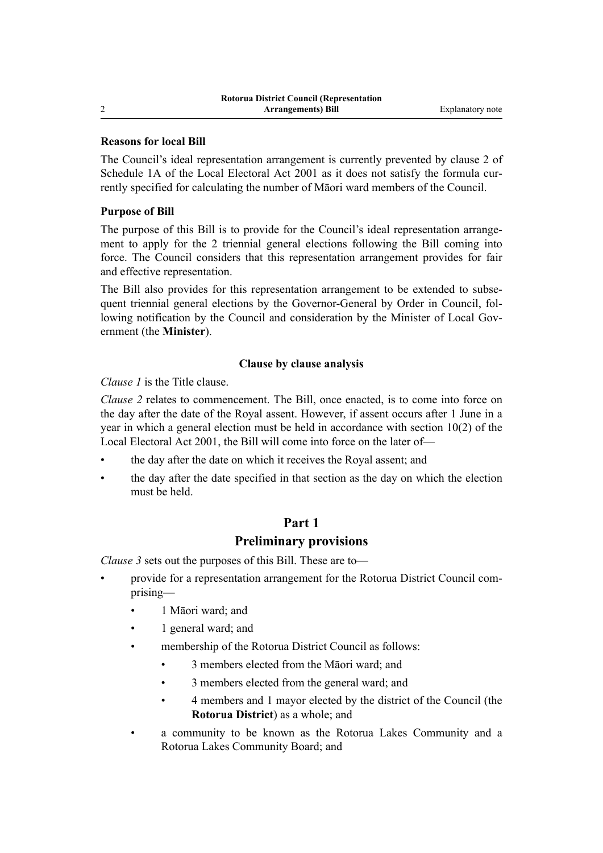#### **Reasons for local Bill**

The Council's ideal representation arrangement is currently prevented by clause 2 of Schedule 1A of the Local Electoral Act 2001 as it does not satisfy the formula currently specified for calculating the number of Māori ward members of the Council.

### **Purpose of Bill**

The purpose of this Bill is to provide for the Council's ideal representation arrangement to apply for the 2 triennial general elections following the Bill coming into force. The Council considers that this representation arrangement provides for fair and effective representation.

The Bill also provides for this representation arrangement to be extended to subsequent triennial general elections by the Governor-General by Order in Council, following notification by the Council and consideration by the Minister of Local Government (the **Minister**).

#### **Clause by clause analysis**

*Clause 1* is the Title clause.

*Clause 2* relates to commencement. The Bill, once enacted, is to come into force on the day after the date of the Royal assent. However, if assent occurs after 1 June in a year in which a general election must be held in accordance with section 10(2) of the Local Electoral Act 2001, the Bill will come into force on the later of—

- the day after the date on which it receives the Royal assent; and
- the day after the date specified in that section as the day on which the election must be held.

# **Part 1 Preliminary provisions**

*Clause 3* sets out the purposes of this Bill. These are to—

- provide for a representation arrangement for the Rotorua District Council com‐ prising—
	- 1 Māori ward; and
	- 1 general ward; and
	- membership of the Rotorua District Council as follows:
		- 3 members elected from the Māori ward; and
		- 3 members elected from the general ward; and
		- 4 members and 1 mayor elected by the district of the Council (the **Rotorua District**) as a whole; and
	- a community to be known as the Rotorua Lakes Community and a Rotorua Lakes Community Board; and

 $\mathcal{L}$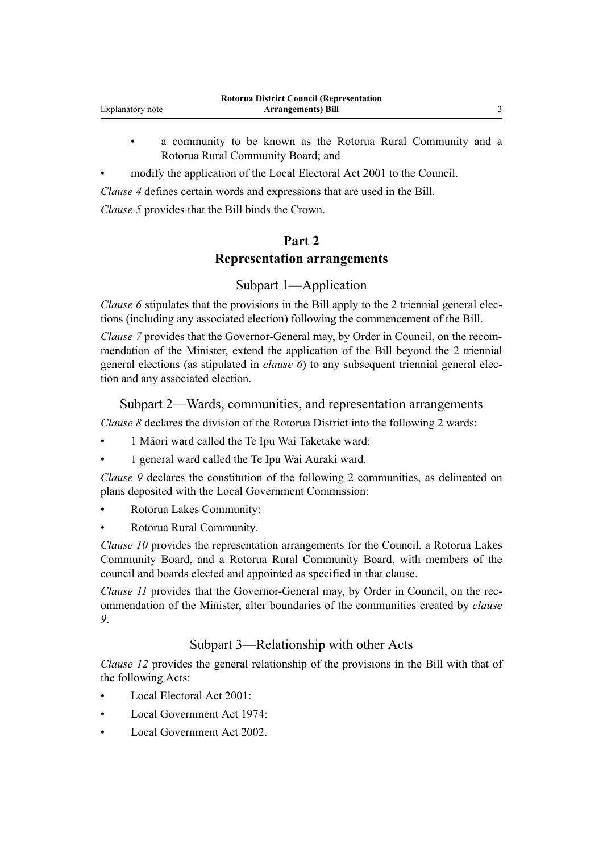- a community to be known as the Rotorua Rural Community and a Rotorua Rural Community Board; and
- modify the application of the Local Electoral Act 2001 to the Council.

*Clause 4* defines certain words and expressions that are used in the Bill.

*Clause 5* provides that the Bill binds the Crown.

# **Part 2**

# **Representation arrangements**

# Subpart 1—Application

*Clause 6* stipulates that the provisions in the Bill apply to the 2 triennial general elections (including any associated election) following the commencement of the Bill.

*Clause 7* provides that the Governor-General may, by Order in Council, on the recommendation of the Minister, extend the application of the Bill beyond the 2 triennial general elections (as stipulated in *clause 6*) to any subsequent triennial general election and any associated election.

# Subpart 2—Wards, communities, and representation arrangements

*Clause 8* declares the division of the Rotorua District into the following 2 wards:

- 1 Māori ward called the Te Ipu Wai Taketake ward:
- 1 general ward called the Te Ipu Wai Auraki ward.

*Clause 9* declares the constitution of the following 2 communities, as delineated on plans deposited with the Local Government Commission:

- Rotorua Lakes Community:
- Rotorua Rural Community.

*Clause 10* provides the representation arrangements for the Council, a Rotorua Lakes Community Board, and a Rotorua Rural Community Board, with members of the council and boards elected and appointed as specified in that clause.

*Clause 11* provides that the Governor-General may, by Order in Council, on the recommendation of the Minister, alter boundaries of the communities created by *clause 9*.

# Subpart 3—Relationship with other Acts

*Clause 12* provides the general relationship of the provisions in the Bill with that of the following Acts:

- Local Electoral Act 2001:
- Local Government Act 1974:
- Local Government Act 2002.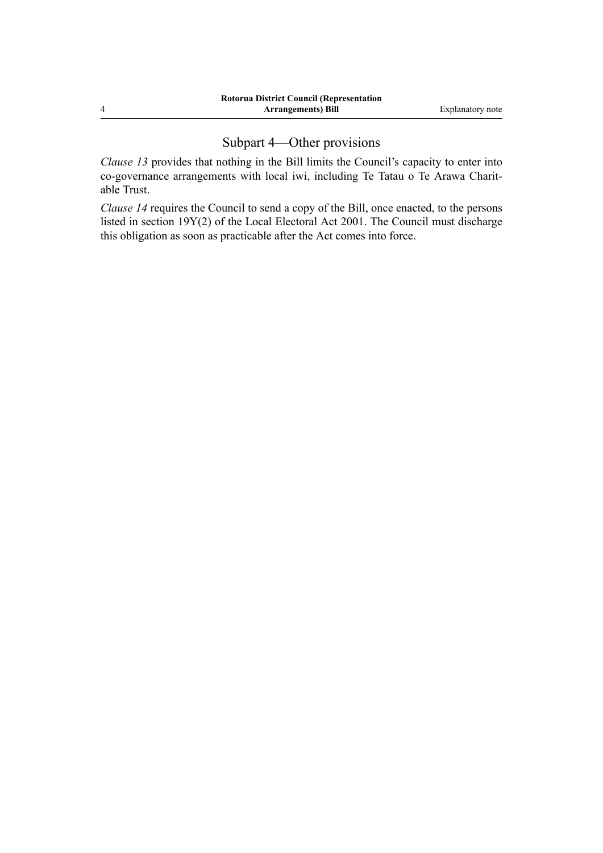# Subpart 4—Other provisions

*Clause 13* provides that nothing in the Bill limits the Council's capacity to enter into co-governance arrangements with local iwi, including Te Tatau o Te Arawa Charit‐ able Trust.

*Clause 14* requires the Council to send a copy of the Bill, once enacted, to the persons listed in section 19Y(2) of the Local Electoral Act 2001. The Council must discharge this obligation as soon as practicable after the Act comes into force.

4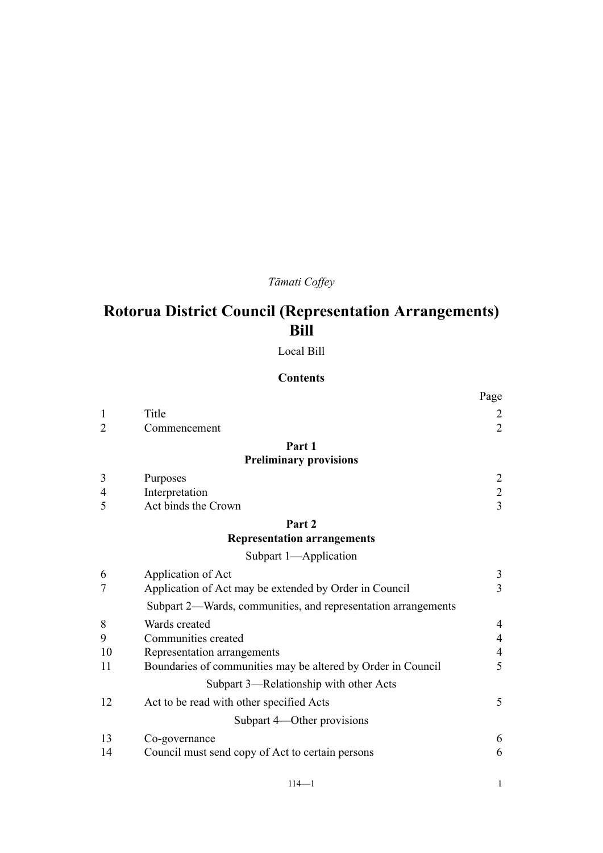# *Tāmati Coffey*

# **Rotorua District Council (Representation Arrangements) Bill**

Local Bill

# **Contents**

|                |                                                               | Page           |
|----------------|---------------------------------------------------------------|----------------|
| $\mathbf{1}$   | Title                                                         | $\overline{2}$ |
| $\overline{2}$ | Commencement                                                  | $\overline{2}$ |
|                | Part 1                                                        |                |
|                | <b>Preliminary provisions</b>                                 |                |
| 3              | Purposes                                                      | $\overline{2}$ |
| $\overline{4}$ | Interpretation                                                | $\overline{c}$ |
| 5              | Act binds the Crown                                           | $\overline{3}$ |
|                | Part 2                                                        |                |
|                | <b>Representation arrangements</b>                            |                |
|                | Subpart 1-Application                                         |                |
| 6              | Application of Act                                            | 3              |
| 7              | Application of Act may be extended by Order in Council        | $\overline{3}$ |
|                | Subpart 2—Wards, communities, and representation arrangements |                |
| 8              | Wards created                                                 | $\overline{4}$ |
| 9              | Communities created                                           | $\overline{4}$ |
| 10             | Representation arrangements                                   | $\overline{4}$ |
| 11             | Boundaries of communities may be altered by Order in Council  | 5              |
|                | Subpart 3-Relationship with other Acts                        |                |
| 12             | Act to be read with other specified Acts                      | 5              |
|                | Subpart 4—Other provisions                                    |                |
| 13             | Co-governance                                                 | 6              |
| 14             | Council must send copy of Act to certain persons              | 6              |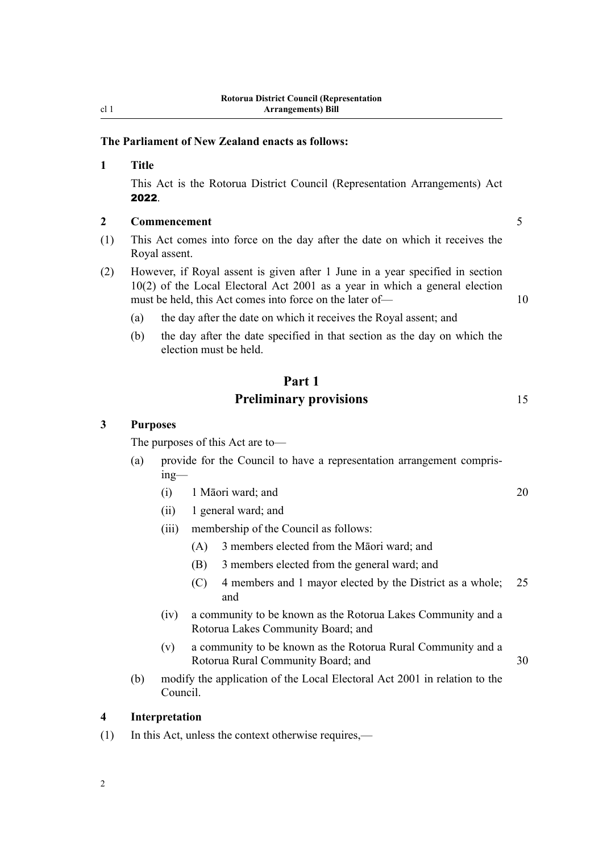# <span id="page-5-0"></span>**The Parliament of New Zealand enacts as follows:**

#### **1 Title**

This Act is the Rotorua District Council (Representation Arrangements) Act 2022.

#### **2 Commencement** 5

- (1) This Act comes into force on the day after the date on which it receives the Royal assent.
- (2) However, if Royal assent is given after 1 June in a year specified in section 10(2) of the Local Electoral Act 2001 as a year in which a general election must be held, this Act comes into force on the later of — 10
	- (a) the day after the date on which it receives the Royal assent; and
	- (b) the day after the date specified in that section as the day on which the election must be held.

# **Part 1 Preliminary provisions** 15

**3 Purposes**

The purposes of this Act are to—

- (a) provide for the Council to have a representation arrangement compris‐ ing—
	- (i) 1 Māori ward; and 20
	- (ii) 1 general ward; and
	- (iii) membership of the Council as follows:
		- (A) 3 members elected from the Māori ward; and
		- (B) 3 members elected from the general ward; and
		- (C) 4 members and 1 mayor elected by the District as a whole; 25 and
	- (iv) a community to be known as the Rotorua Lakes Community and a Rotorua Lakes Community Board; and
	- (v) a community to be known as the Rotorua Rural Community and a Rotorua Rural Community Board; and 30
- (b) modify the application of the Local Electoral Act 2001 in relation to the Council.

#### **4 Interpretation**

2

(1) In this Act, unless the context otherwise requires,—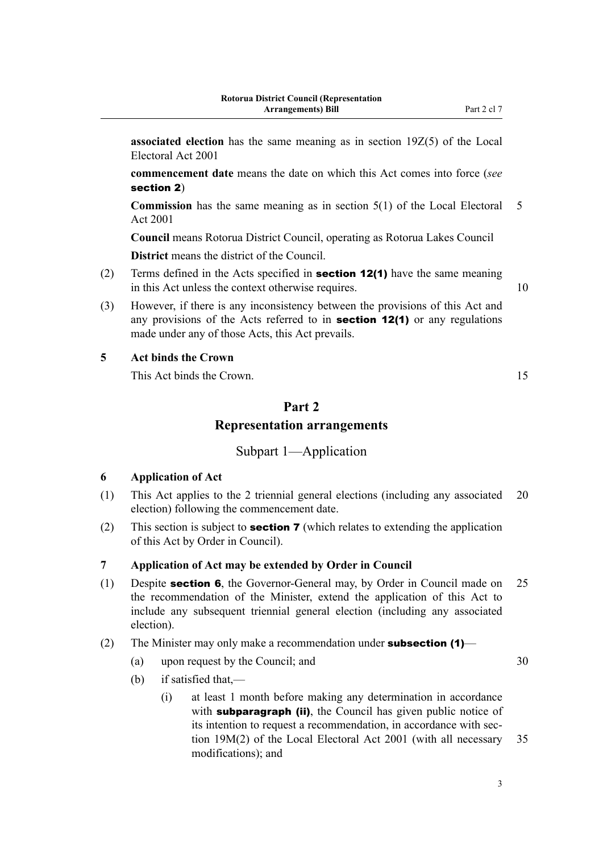<span id="page-6-0"></span>**associated election** has the same meaning as in section 19Z(5) of the Local Electoral Act 2001

**commencement date** means the date on which this Act comes into force (*see* section 2)

**Commission** has the same meaning as in section 5(1) of the Local Electoral 5 Act 2001

**Council** means Rotorua District Council, operating as Rotorua Lakes Council **District** means the district of the Council.

(2) Terms defined in the Acts specified in **section 12(1)** have the same meaning in this Act unless the context otherwise requires. 10

(3) However, if there is any inconsistency between the provisions of this Act and any provisions of the Acts referred to in section 12(1) or any regulations made under any of those Acts, this Act prevails.

# **5 Act binds the Crown**

This Act binds the Crown. 15

# **Part 2 Representation arrangements**

# Subpart 1—Application

### **6 Application of Act**

- (1) This Act applies to the 2 triennial general elections (including any associated 20 election) following the commencement date.
- (2) This section is subject to **section 7** (which relates to extending the application of this Act by Order in Council).

# **7 Application of Act may be extended by Order in Council**

(1) Despite section 6, the Governor-General may, by Order in Council made on 25 the recommendation of the Minister, extend the application of this Act to include any subsequent triennial general election (including any associated election).

#### (2) The Minister may only make a recommendation under **subsection (1)**—

- (a) upon request by the Council; and  $30$
- (b) if satisfied that,—
	- (i) at least 1 month before making any determination in accordance with **subparagraph (ii)**, the Council has given public notice of its intention to request a recommendation, in accordance with section 19M(2) of the Local Electoral Act 2001 (with all necessary 35 modifications); and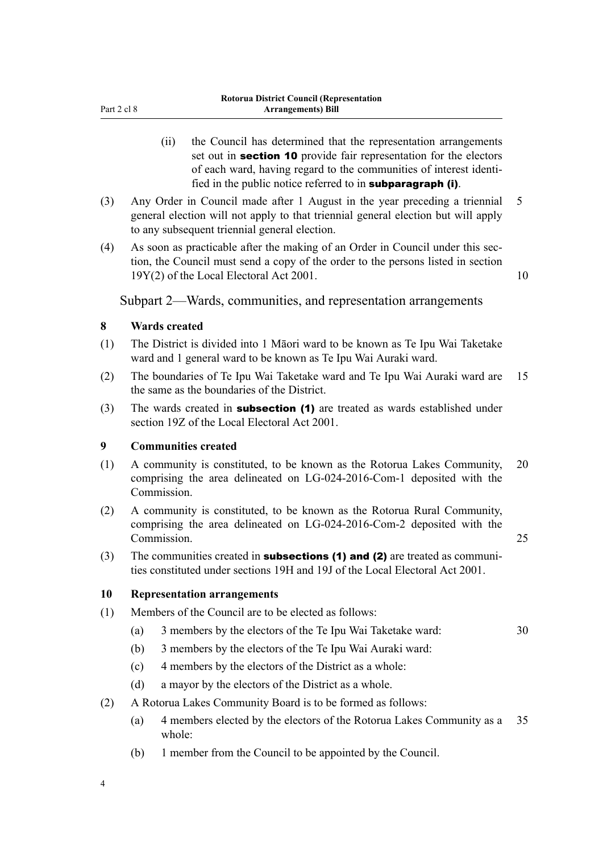- <span id="page-7-0"></span>(ii) the Council has determined that the representation arrangements set out in **section 10** provide fair representation for the electors of each ward, having regard to the communities of interest identi‐ fied in the public notice referred to in subparagraph (i).
- (3) Any Order in Council made after 1 August in the year preceding a triennial 5 general election will not apply to that triennial general election but will apply to any subsequent triennial general election.
- (4) As soon as practicable after the making of an Order in Council under this sec‐ tion, the Council must send a copy of the order to the persons listed in section 19Y(2) of the Local Electoral Act 2001. 10

Subpart 2—Wards, communities, and representation arrangements

#### **8 Wards created**

- (1) The District is divided into 1 Māori ward to be known as Te Ipu Wai Taketake ward and 1 general ward to be known as Te Ipu Wai Auraki ward.
- (2) The boundaries of Te Ipu Wai Taketake ward and Te Ipu Wai Auraki ward are 15 the same as the boundaries of the District.
- (3) The wards created in **subsection (1)** are treated as wards established under section 19Z of the Local Electoral Act 2001.

#### **9 Communities created**

- (1) A community is constituted, to be known as the Rotorua Lakes Community, 20 comprising the area delineated on LG-024-2016-Com-1 deposited with the Commission.
- (2) A community is constituted, to be known as the Rotorua Rural Community, comprising the area delineated on LG-024-2016-Com-2 deposited with the Commission. 25
- (3) The communities created in **subsections (1) and (2)** are treated as communities constituted under sections 19H and 19J of the Local Electoral Act 2001.

#### **10 Representation arrangements**

- (1) Members of the Council are to be elected as follows:
	- (a) 3 members by the electors of the Te Ipu Wai Taketake ward: 30
	- (b) 3 members by the electors of the Te Ipu Wai Auraki ward:
	- (c) 4 members by the electors of the District as a whole:
	- (d) a mayor by the electors of the District as a whole.
- (2) A Rotorua Lakes Community Board is to be formed as follows:
	- (a) 4 members elected by the electors of the Rotorua Lakes Community as a 35 whole:
	- (b) 1 member from the Council to be appointed by the Council.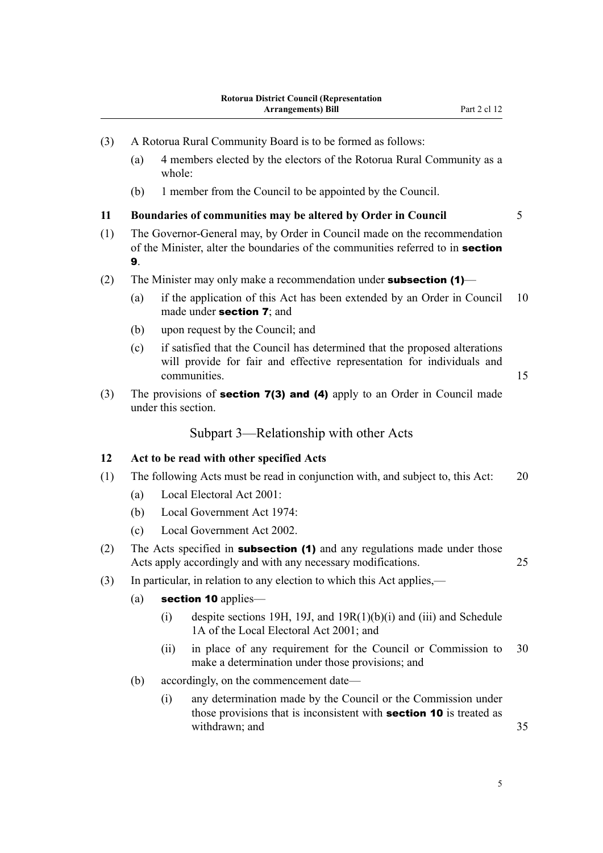<span id="page-8-0"></span>

| (3) | A Rotorua Rural Community Board is to be formed as follows:                                                                                                       |                           |                                                                                                                                                                      |    |  |  |
|-----|-------------------------------------------------------------------------------------------------------------------------------------------------------------------|---------------------------|----------------------------------------------------------------------------------------------------------------------------------------------------------------------|----|--|--|
|     | (a)                                                                                                                                                               | whole:                    | 4 members elected by the electors of the Rotorua Rural Community as a                                                                                                |    |  |  |
|     | (b)                                                                                                                                                               |                           | 1 member from the Council to be appointed by the Council.                                                                                                            |    |  |  |
| 11  | Boundaries of communities may be altered by Order in Council                                                                                                      |                           |                                                                                                                                                                      |    |  |  |
| (1) | The Governor-General may, by Order in Council made on the recommendation<br>of the Minister, alter the boundaries of the communities referred to in section<br>9. |                           |                                                                                                                                                                      |    |  |  |
| (2) | The Minister may only make a recommendation under <b>subsection <math>(1)</math></b>                                                                              |                           |                                                                                                                                                                      |    |  |  |
|     | (a)                                                                                                                                                               |                           | if the application of this Act has been extended by an Order in Council<br>made under <b>section 7</b> ; and                                                         | 10 |  |  |
|     | (b)                                                                                                                                                               |                           | upon request by the Council; and                                                                                                                                     |    |  |  |
|     | (c)                                                                                                                                                               |                           | if satisfied that the Council has determined that the proposed alterations<br>will provide for fair and effective representation for individuals and<br>communities. | 15 |  |  |
| (3) | The provisions of <b>section 7(3) and (4)</b> apply to an Order in Council made<br>under this section.                                                            |                           |                                                                                                                                                                      |    |  |  |
|     |                                                                                                                                                                   |                           | Subpart 3—Relationship with other Acts                                                                                                                               |    |  |  |
| 12  | Act to be read with other specified Acts                                                                                                                          |                           |                                                                                                                                                                      |    |  |  |
| (1) | The following Acts must be read in conjunction with, and subject to, this Act:                                                                                    |                           |                                                                                                                                                                      |    |  |  |
|     | (a)                                                                                                                                                               | Local Electoral Act 2001: |                                                                                                                                                                      |    |  |  |
|     | (b)                                                                                                                                                               |                           | Local Government Act 1974:                                                                                                                                           |    |  |  |
|     | (c)                                                                                                                                                               |                           | Local Government Act 2002.                                                                                                                                           |    |  |  |
| (2) | The Acts specified in <b>subsection (1)</b> and any regulations made under those<br>Acts apply accordingly and with any necessary modifications.<br>25            |                           |                                                                                                                                                                      |    |  |  |
| (3) | In particular, in relation to any election to which this Act applies,—                                                                                            |                           |                                                                                                                                                                      |    |  |  |
|     | (a)<br>section 10 applies-                                                                                                                                        |                           |                                                                                                                                                                      |    |  |  |
|     |                                                                                                                                                                   | (i)                       | despite sections 19H, 19J, and $19R(1)(b)(i)$ and (iii) and Schedule<br>1A of the Local Electoral Act 2001; and                                                      |    |  |  |
|     |                                                                                                                                                                   | (ii)                      | in place of any requirement for the Council or Commission to<br>make a determination under those provisions; and                                                     | 30 |  |  |
|     | accordingly, on the commencement date—<br>(b)                                                                                                                     |                           |                                                                                                                                                                      |    |  |  |
|     |                                                                                                                                                                   | (i)                       | any determination made by the Council or the Commission under<br>those provisions that is inconsistent with <b>section 10</b> is treated as<br>withdrawn; and        | 35 |  |  |